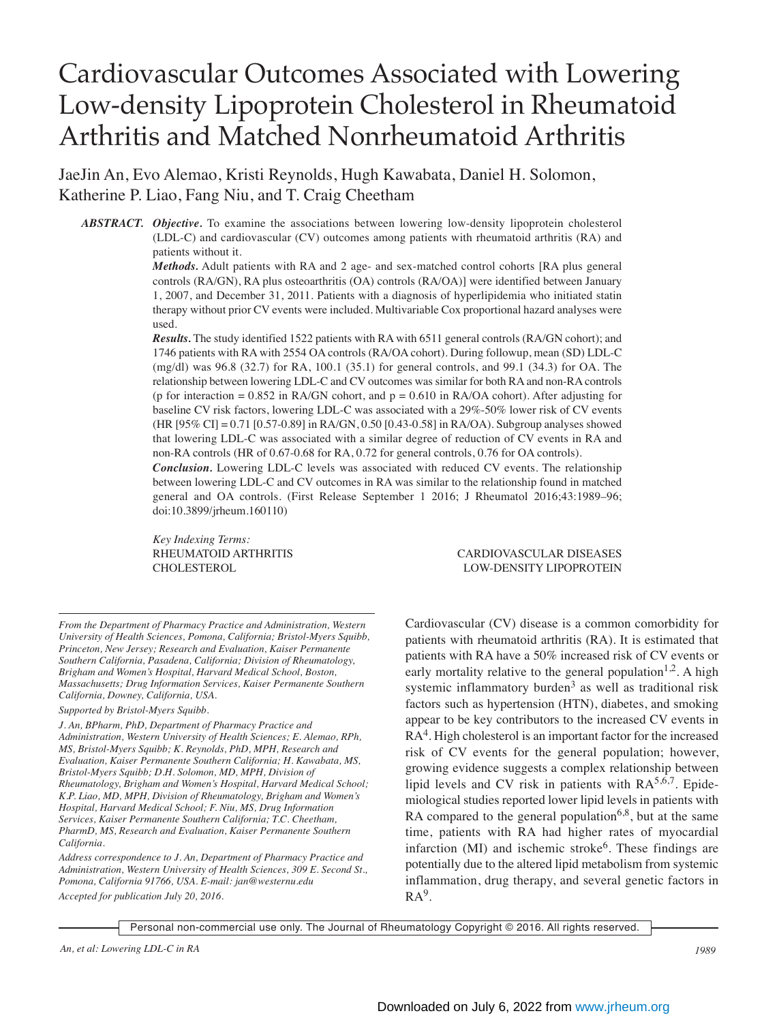# Cardiovascular Outcomes Associated with Lowering Low-density Lipoprotein Cholesterol in Rheumatoid Arthritis and Matched Nonrheumatoid Arthritis

JaeJin An, Evo Alemao, Kristi Reynolds, Hugh Kawabata, Daniel H. Solomon, Katherine P. Liao, Fang Niu, and T. Craig Cheetham

*ABSTRACT. Objective.* To examine the associations between lowering low-density lipoprotein cholesterol (LDL-C) and cardiovascular (CV) outcomes among patients with rheumatoid arthritis (RA) and patients without it.

> *Methods.* Adult patients with RA and 2 age- and sex-matched control cohorts [RA plus general controls (RA/GN), RA plus osteoarthritis (OA) controls (RA/OA)] were identified between January 1, 2007, and December 31, 2011. Patients with a diagnosis of hyperlipidemia who initiated statin therapy without prior CV events were included. Multivariable Cox proportional hazard analyses were used.

> *Results.* The study identified 1522 patients with RA with 6511 general controls (RA/GN cohort); and 1746 patients with RA with 2554 OA controls (RA/OA cohort). During followup, mean (SD) LDL-C (mg/dl) was 96.8 (32.7) for RA, 100.1 (35.1) for general controls, and 99.1 (34.3) for OA. The relationship between lowering LDL-C and CV outcomes was similar for both RA and non-RA controls (p for interaction =  $0.852$  in RA/GN cohort, and  $p = 0.610$  in RA/OA cohort). After adjusting for baseline CV risk factors, lowering LDL-C was associated with a 29%-50% lower risk of CV events (HR [95% CI] = 0.71 [0.57-0.89] in RA/GN, 0.50 [0.43-0.58] in RA/OA). Subgroup analyses showed that lowering LDL-C was associated with a similar degree of reduction of CV events in RA and non-RA controls (HR of 0.67-0.68 for RA, 0.72 for general controls, 0.76 for OA controls).

> *Conclusion.* Lowering LDL-C levels was associated with reduced CV events. The relationship between lowering LDL-C and CV outcomes in RA was similar to the relationship found in matched general and OA controls. (First Release September 1 2016; J Rheumatol 2016;43:1989–96; doi:10.3899/jrheum.160110)

*Key Indexing Terms:*

*From the Department of Pharmacy Practice and Administration, Western University of Health Sciences, Pomona, California; Bristol-Myers Squibb, Princeton, New Jersey; Research and Evaluation, Kaiser Permanente Southern California, Pasadena, California; Division of Rheumatology, Brigham and Women's Hospital, Harvard Medical School, Boston, Massachusetts; Drug Information Services, Kaiser Permanente Southern California, Downey, California, USA.*

*Supported by Bristol-Myers Squibb.*

*J. An, BPharm, PhD, Department of Pharmacy Practice and Administration, Western University of Health Sciences; E. Alemao, RPh, MS, Bristol-Myers Squibb; K. Reynolds, PhD, MPH, Research and Evaluation, Kaiser Permanente Southern California; H. Kawabata, MS, Bristol-Myers Squibb; D.H. Solomon, MD, MPH, Division of Rheumatology, Brigham and Women's Hospital, Harvard Medical School; K.P. Liao, MD, MPH, Division of Rheumatology, Brigham and Women's Hospital, Harvard Medical School; F. Niu, MS, Drug Information Services, Kaiser Permanente Southern California; T.C. Cheetham, PharmD, MS, Research and Evaluation, Kaiser Permanente Southern California.*

*Address correspondence to J. An, Department of Pharmacy Practice and Administration, Western University of Health Sciences, 309 E. Second St., Pomona, California 91766, USA. E-mail: jan@westernu.edu Accepted for publication July 20, 2016.*

RHEUMATOID ARTHRITIS CARDIOVASCULAR DISEASES CHOLESTEROL LOW-DENSITY LIPOPROTEIN

> Cardiovascular (CV) disease is a common comorbidity for patients with rheumatoid arthritis (RA). It is estimated that patients with RA have a 50% increased risk of CV events or early mortality relative to the general population<sup>1,2</sup>. A high systemic inflammatory burden<sup>3</sup> as well as traditional risk factors such as hypertension (HTN), diabetes, and smoking appear to be key contributors to the increased CV events in RA<sup>4</sup>. High cholesterol is an important factor for the increased risk of CV events for the general population; however, growing evidence suggests a complex relationship between lipid levels and CV risk in patients with  $RA^{5,6,7}$ . Epidemiological studies reported lower lipid levels in patients with RA compared to the general population<sup>6,8</sup>, but at the same time, patients with RA had higher rates of myocardial infarction  $(MI)$  and ischemic stroke<sup>6</sup>. These findings are potentially due to the altered lipid metabolism from systemic inflammation, drug therapy, and several genetic factors in  $RA<sup>9</sup>$ .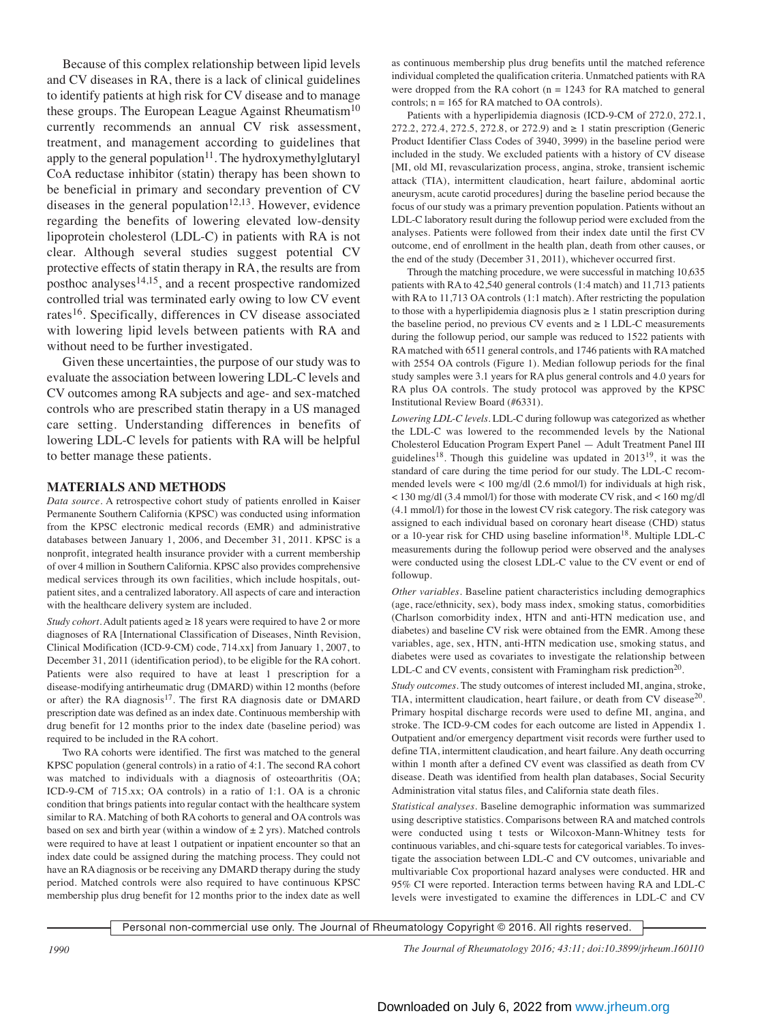Because of this complex relationship between lipid levels and CV diseases in RA, there is a lack of clinical guidelines to identify patients at high risk for CV disease and to manage these groups. The European League Against Rheumatism<sup>10</sup> currently recommends an annual CV risk assessment, treatment, and management according to guidelines that apply to the general population<sup>11</sup>. The hydroxymethylglutaryl CoA reductase inhibitor (statin) therapy has been shown to be beneficial in primary and secondary prevention of CV diseases in the general population<sup>12,13</sup>. However, evidence regarding the benefits of lowering elevated low-density lipoprotein cholesterol (LDL-C) in patients with RA is not clear. Although several studies suggest potential CV protective effects of statin therapy in RA, the results are from posthoc analyses $14,15$ , and a recent prospective randomized controlled trial was terminated early owing to low CV event rates<sup>16</sup>. Specifically, differences in CV disease associated with lowering lipid levels between patients with RA and without need to be further investigated.

Given these uncertainties, the purpose of our study was to evaluate the association between lowering LDL-C levels and CV outcomes among RA subjects and age- and sex-matched controls who are prescribed statin therapy in a US managed care setting. Understanding differences in benefits of lowering LDL-C levels for patients with RA will be helpful to better manage these patients.

# **MATERIALS AND METHODS**

*Data source.* A retrospective cohort study of patients enrolled in Kaiser Permanente Southern California (KPSC) was conducted using information from the KPSC electronic medical records (EMR) and administrative databases between January 1, 2006, and December 31, 2011. KPSC is a nonprofit, integrated health insurance provider with a current membership of over 4 million in Southern California. KPSC also provides comprehensive medical services through its own facilities, which include hospitals, outpatient sites, and a centralized laboratory. All aspects of care and interaction with the healthcare delivery system are included.

*Study cohort*. Adult patients aged  $\geq 18$  years were required to have 2 or more diagnoses of RA [International Classification of Diseases, Ninth Revision, Clinical Modification (ICD-9-CM) code, 714.xx] from January 1, 2007, to December 31, 2011 (identification period), to be eligible for the RA cohort. Patients were also required to have at least 1 prescription for a disease-modifying antirheumatic drug (DMARD) within 12 months (before or after) the RA diagnosis<sup>17</sup>. The first RA diagnosis date or DMARD prescription date was defined as an index date. Continuous membership with drug benefit for 12 months prior to the index date (baseline period) was required to be included in the RA cohort.

Two RA cohorts were identified. The first was matched to the general KPSC population (general controls) in a ratio of 4:1. The second RA cohort was matched to individuals with a diagnosis of osteoarthritis (OA; ICD-9-CM of 715.xx; OA controls) in a ratio of 1:1. OA is a chronic condition that brings patients into regular contact with the healthcare system similar to RA. Matching of both RA cohorts to general and OA controls was based on sex and birth year (within a window of  $\pm$  2 yrs). Matched controls were required to have at least 1 outpatient or inpatient encounter so that an index date could be assigned during the matching process. They could not have an RA diagnosis or be receiving any DMARD therapy during the study period. Matched controls were also required to have continuous KPSC membership plus drug benefit for 12 months prior to the index date as well

as continuous membership plus drug benefits until the matched reference individual completed the qualification criteria. Unmatched patients with RA were dropped from the RA cohort ( $n = 1243$  for RA matched to general controls;  $n = 165$  for RA matched to OA controls).

Patients with a hyperlipidemia diagnosis (ICD-9-CM of 272.0, 272.1, 272.2, 272.4, 272.5, 272.8, or 272.9) and ≥ 1 statin prescription (Generic Product Identifier Class Codes of 3940, 3999) in the baseline period were included in the study. We excluded patients with a history of CV disease [MI, old MI, revascularization process, angina, stroke, transient ischemic attack (TIA), intermittent claudication, heart failure, abdominal aortic aneurysm, acute carotid procedures] during the baseline period because the focus of our study was a primary prevention population. Patients without an LDL-C laboratory result during the followup period were excluded from the analyses. Patients were followed from their index date until the first CV outcome, end of enrollment in the health plan, death from other causes, or the end of the study (December 31, 2011), whichever occurred first.

Through the matching procedure, we were successful in matching 10,635 patients with RA to 42,540 general controls (1:4 match) and 11,713 patients with RA to 11,713 OA controls (1:1 match). After restricting the population to those with a hyperlipidemia diagnosis plus  $\geq 1$  statin prescription during the baseline period, no previous CV events and  $\geq 1$  LDL-C measurements during the followup period, our sample was reduced to 1522 patients with RA matched with 6511 general controls, and 1746 patients with RA matched with 2554 OA controls (Figure 1). Median followup periods for the final study samples were 3.1 years for RA plus general controls and 4.0 years for RA plus OA controls. The study protocol was approved by the KPSC Institutional Review Board (#6331).

*Lowering LDL-C levels.* LDL-C during followup was categorized as whether the LDL-C was lowered to the recommended levels by the National Cholesterol Education Program Expert Panel — Adult Treatment Panel III guidelines<sup>18</sup>. Though this guideline was updated in 2013<sup>19</sup>, it was the standard of care during the time period for our study. The LDL-C recommended levels were < 100 mg/dl (2.6 mmol/l) for individuals at high risk, < 130 mg/dl (3.4 mmol/l) for those with moderate CV risk, and < 160 mg/dl (4.1 mmol/l) for those in the lowest CV risk category. The risk category was assigned to each individual based on coronary heart disease (CHD) status or a 10-year risk for CHD using baseline information<sup>18</sup>. Multiple LDL-C measurements during the followup period were observed and the analyses were conducted using the closest LDL-C value to the CV event or end of followup.

*Other variables.* Baseline patient characteristics including demographics (age, race/ethnicity, sex), body mass index, smoking status, comorbidities (Charlson comorbidity index, HTN and anti-HTN medication use, and diabetes) and baseline CV risk were obtained from the EMR. Among these variables, age, sex, HTN, anti-HTN medication use, smoking status, and diabetes were used as covariates to investigate the relationship between LDL-C and CV events, consistent with Framingham risk prediction<sup>20</sup>.

*Study outcomes.* The study outcomes of interest included MI, angina, stroke, TIA, intermittent claudication, heart failure, or death from CV disease<sup>20</sup>. Primary hospital discharge records were used to define MI, angina, and stroke. The ICD-9-CM codes for each outcome are listed in Appendix 1. Outpatient and/or emergency department visit records were further used to define TIA, intermittent claudication, and heart failure. Any death occurring within 1 month after a defined CV event was classified as death from CV disease. Death was identified from health plan databases, Social Security Administration vital status files, and California state death files.

*Statistical analyses.* Baseline demographic information was summarized using descriptive statistics. Comparisons between RA and matched controls were conducted using t tests or Wilcoxon-Mann-Whitney tests for continuous variables, and chi-square tests for categorical variables. To investigate the association between LDL-C and CV outcomes, univariable and multivariable Cox proportional hazard analyses were conducted. HR and 95% CI were reported. Interaction terms between having RA and LDL-C levels were investigated to examine the differences in LDL-C and CV

Personal non-commercial use only. The Journal of Rheumatology Copyright © 2016. All rights reserved.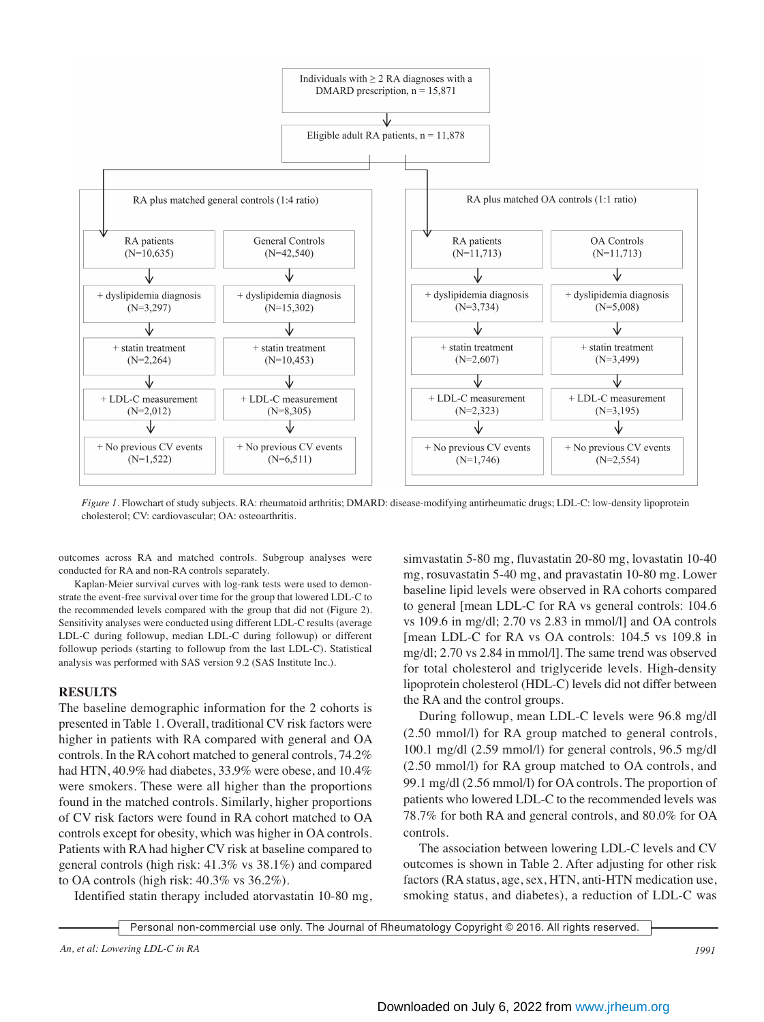

*Figure 1.* Flowchart of study subjects. RA: rheumatoid arthritis; DMARD: disease-modifying antirheumatic drugs; LDL-C: low-density lipoprotein cholesterol; CV: cardiovascular; OA: osteoarthritis.

outcomes across RA and matched controls. Subgroup analyses were conducted for RA and non-RA controls separately.

Kaplan-Meier survival curves with log-rank tests were used to demonstrate the event-free survival over time for the group that lowered LDL-C to the recommended levels compared with the group that did not (Figure 2). Sensitivity analyses were conducted using different LDL-C results (average LDL-C during followup, median LDL-C during followup) or different followup periods (starting to followup from the last LDL-C). Statistical analysis was performed with SAS version 9.2 (SAS Institute Inc.).

# **RESULTS**

The baseline demographic information for the 2 cohorts is presented in Table 1. Overall, traditional CV risk factors were higher in patients with RA compared with general and OA controls. In the RA cohort matched to general controls, 74.2% had HTN, 40.9% had diabetes, 33.9% were obese, and 10.4% were smokers. These were all higher than the proportions found in the matched controls. Similarly, higher proportions of CV risk factors were found in RA cohort matched to OA controls except for obesity, which was higher in OA controls. Patients with RA had higher CV risk at baseline compared to general controls (high risk: 41.3% vs 38.1%) and compared to OA controls (high risk: 40.3% vs 36.2%).

Identified statin therapy included atorvastatin 10-80 mg,

simvastatin 5-80 mg, fluvastatin 20-80 mg, lovastatin 10-40 mg, rosuvastatin 5-40 mg, and pravastatin 10-80 mg. Lower baseline lipid levels were observed in RA cohorts compared to general [mean LDL-C for RA vs general controls: 104.6 vs 109.6 in mg/dl; 2.70 vs 2.83 in mmol/l] and OA controls [mean LDL-C for RA vs OA controls: 104.5 vs 109.8 in mg/dl; 2.70 vs 2.84 in mmol/l]. The same trend was observed for total cholesterol and triglyceride levels. High-density lipoprotein cholesterol (HDL-C) levels did not differ between the RA and the control groups.

During followup, mean LDL-C levels were 96.8 mg/dl (2.50 mmol/l) for RA group matched to general controls, 100.1 mg/dl (2.59 mmol/l) for general controls, 96.5 mg/dl (2.50 mmol/l) for RA group matched to OA controls, and 99.1 mg/dl (2.56 mmol/l) for OA controls. The proportion of patients who lowered LDL-C to the recommended levels was 78.7% for both RA and general controls, and 80.0% for OA controls.

The association between lowering LDL-C levels and CV outcomes is shown in Table 2. After adjusting for other risk factors (RA status, age, sex, HTN, anti-HTN medication use, smoking status, and diabetes), a reduction of LDL-C was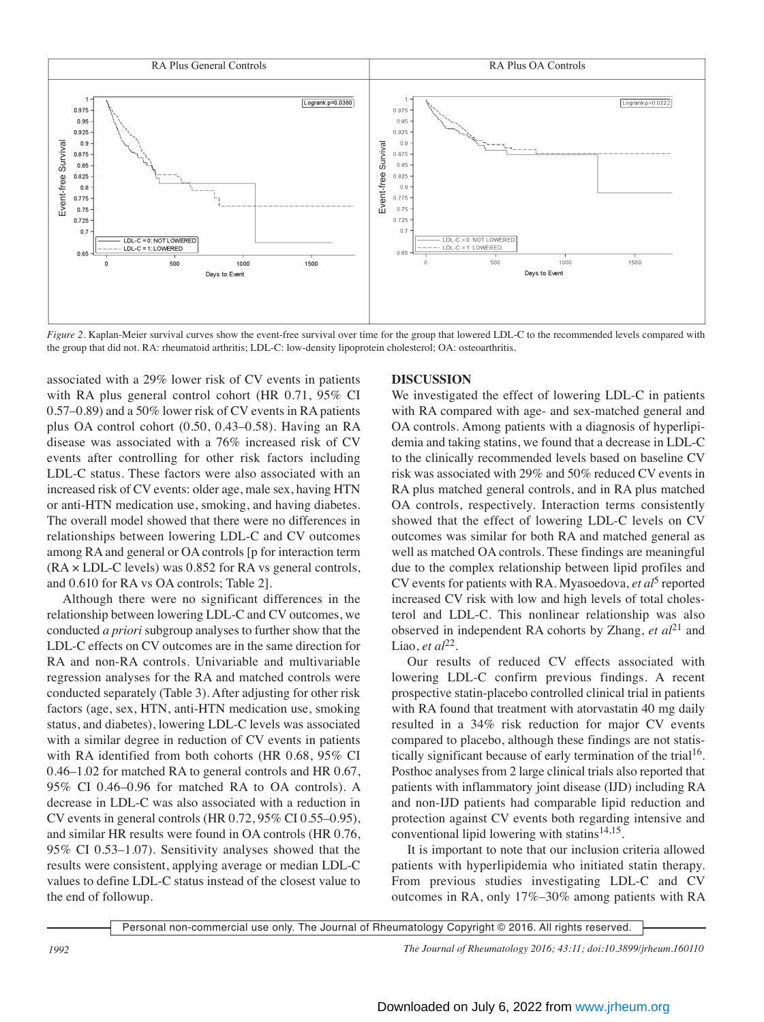

*Figure 2.* Kaplan-Meier survival curves show the event-free survival over time for the group that lowered LDL-C to the recommended levels compared with the group that did not. RA: rheumatoid arthritis; LDL-C: low-density lipoprotein cholesterol; OA: osteoarthritis.

associated with a 29% lower risk of CV events in patients with RA plus general control cohort (HR 0.71, 95% CI 0.57–0.89) and a 50% lower risk of CV events in RA patients plus OA control cohort (0.50, 0.43–0.58). Having an RA disease was associated with a 76% increased risk of CV events after controlling for other risk factors including LDL-C status. These factors were also associated with an increased risk of CV events: older age, male sex, having HTN or anti-HTN medication use, smoking, and having diabetes. The overall model showed that there were no differences in relationships between lowering LDL-C and CV outcomes among RA and general or OA controls [p for interaction term  $(RA \times LDL-C$  levels) was 0.852 for RA vs general controls, and 0.610 for RA vs OA controls; Table 2].

Although there were no significant differences in the relationship between lowering LDL-C and CV outcomes, we conducted *a priori* subgroup analyses to further show that the LDL-C effects on CV outcomes are in the same direction for RA and non-RA controls. Univariable and multivariable regression analyses for the RA and matched controls were conducted separately (Table 3). After adjusting for other risk factors (age, sex, HTN, anti-HTN medication use, smoking status, and diabetes), lowering LDL-C levels was associated with a similar degree in reduction of CV events in patients with RA identified from both cohorts (HR 0.68, 95% CI 0.46–1.02 for matched RA to general controls and HR 0.67, 95% CI 0.46–0.96 for matched RA to OA controls). A decrease in LDL-C was also associated with a reduction in CV events in general controls (HR 0.72, 95% CI 0.55–0.95), and similar HR results were found in OA controls (HR 0.76, 95% CI 0.53–1.07). Sensitivity analyses showed that the results were consistent, applying average or median LDL-C values to define LDL-C status instead of the closest value to the end of followup.

# **DISCUSSION**

We investigated the effect of lowering LDL-C in patients with RA compared with age- and sex-matched general and OA controls. Among patients with a diagnosis of hyperlipidemia and taking statins, we found that a decrease in LDL-C to the clinically recommended levels based on baseline CV risk was associated with 29% and 50% reduced CV events in RA plus matched general controls, and in RA plus matched OA controls, respectively. Interaction terms consistently showed that the effect of lowering LDL-C levels on CV outcomes was similar for both RA and matched general as well as matched OA controls. These findings are meaningful due to the complex relationship between lipid profiles and CV events for patients with RA. Myasoedova, *et al*<sup>5</sup> reported increased CV risk with low and high levels of total cholesterol and LDL-C. This nonlinear relationship was also observed in independent RA cohorts by Zhang, *et al*<sup>21</sup> and Liao, *et al*<sup>22</sup>.

Our results of reduced CV effects associated with lowering LDL-C confirm previous findings. A recent prospective statin-placebo controlled clinical trial in patients with RA found that treatment with atorvastatin 40 mg daily resulted in a 34% risk reduction for major CV events compared to placebo, although these findings are not statistically significant because of early termination of the trial<sup>16</sup>. Posthoc analyses from 2 large clinical trials also reported that patients with inflammatory joint disease (IJD) including RA and non-IJD patients had comparable lipid reduction and protection against CV events both regarding intensive and conventional lipid lowering with statins<sup>14,15</sup>.

It is important to note that our inclusion criteria allowed patients with hyperlipidemia who initiated statin therapy. From previous studies investigating LDL-C and CV outcomes in RA, only 17%–30% among patients with RA

Personal non-commercial use only. The Journal of Rheumatology Copyright © 2016. All rights reserved.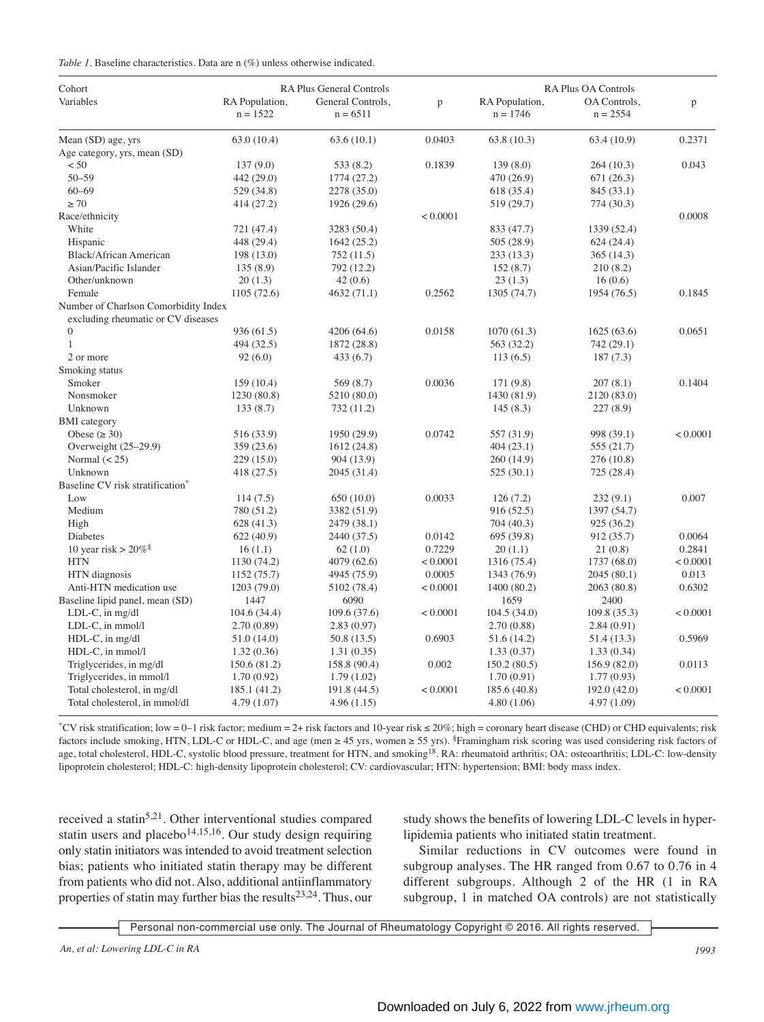| Cohort                                       | RA Plus General Controls     |                                 |          | RA Plus OA Controls          |                            |          |
|----------------------------------------------|------------------------------|---------------------------------|----------|------------------------------|----------------------------|----------|
| Variables                                    | RA Population,<br>$n = 1522$ | General Controls,<br>$n = 6511$ | p        | RA Population,<br>$n = 1746$ | OA Controls,<br>$n = 2554$ | p        |
| Mean (SD) age, yrs                           | 63.0(10.4)                   | 63.6(10.1)                      | 0.0403   | 63.8(10.3)                   | 63.4 (10.9)                | 0.2371   |
| Age category, yrs, mean (SD)                 |                              |                                 |          |                              |                            |          |
| < 50                                         | 137(9.0)                     | 533 (8.2)                       | 0.1839   | 139(8.0)                     | 264(10.3)                  | 0.043    |
| $50 - 59$                                    | 442 (29.0)                   | 1774 (27.2)                     |          | 470 (26.9)                   | 671(26.3)                  |          |
| $60 - 69$                                    | 529 (34.8)                   | 2278 (35.0)                     |          | 618 (35.4)                   | 845 (33.1)                 |          |
| $\geq 70$                                    | 414 (27.2)                   | 1926 (29.6)                     |          | 519 (29.7)                   | 774 (30.3)                 |          |
| Race/ethnicity                               |                              |                                 | < 0.0001 |                              |                            | 0.0008   |
| White                                        | 721 (47.4)                   | 3283 (50.4)                     |          | 833 (47.7)                   | 1339 (52.4)                |          |
| Hispanic                                     | 448 (29.4)                   | 1642(25.2)                      |          | 505 (28.9)                   | 624(24.4)                  |          |
| <b>Black/African American</b>                | 198 (13.0)                   | 752(11.5)                       |          | 233(13.3)                    | 365(14.3)                  |          |
| Asian/Pacific Islander                       | 135(8.9)                     | 792 (12.2)                      |          | 152(8.7)                     | 210(8.2)                   |          |
| Other/unknown                                | 20(1.3)                      | 42(0.6)                         |          | 23(1.3)                      | 16(0.6)                    |          |
| Female                                       | 1105 (72.6)                  | 4632 (71.1)                     | 0.2562   | 1305 (74.7)                  | 1954 (76.5)                | 0.1845   |
| Number of Charlson Comorbidity Index         |                              |                                 |          |                              |                            |          |
| excluding rheumatic or CV diseases           |                              |                                 |          |                              |                            |          |
| $\overline{0}$                               | 936 (61.5)                   | 4206 (64.6)                     | 0.0158   | 1070(61.3)                   | 1625(63.6)                 | 0.0651   |
| $\mathbf{1}$                                 | 494 (32.5)                   | 1872 (28.8)                     |          | 563 (32.2)                   | 742 (29.1)                 |          |
| 2 or more                                    | 92(6.0)                      | 433(6.7)                        |          | 113(6.5)                     | 187(7.3)                   |          |
| Smoking status                               |                              |                                 |          |                              |                            |          |
| Smoker                                       | 159(10.4)                    | 569 (8.7)                       | 0.0036   | 171 (9.8)                    | 207(8.1)                   | 0.1404   |
| Nonsmoker                                    | 1230 (80.8)                  | 5210 (80.0)                     |          | 1430 (81.9)                  | 2120 (83.0)                |          |
| Unknown                                      | 133(8.7)                     | 732 (11.2)                      |          | 145(8.3)                     | 227(8.9)                   |          |
| <b>BMI</b> category                          |                              |                                 |          |                              |                            |          |
| Obese ( $\geq 30$ )                          | 516 (33.9)                   | 1950 (29.9)                     | 0.0742   | 557 (31.9)                   | 998 (39.1)                 | < 0.0001 |
| Overweight $(25-29.9)$                       | 359 (23.6)                   | 1612(24.8)                      |          | 404(23.1)                    | 555 (21.7)                 |          |
| Normal $(< 25)$                              | 229(15.0)                    | 904 (13.9)                      |          | 260 (14.9)                   | 276 (10.8)                 |          |
| Unknown                                      | 418 (27.5)                   | 2045 (31.4)                     |          | 525(30.1)                    | 725 (28.4)                 |          |
| Baseline CV risk stratification <sup>*</sup> |                              |                                 |          |                              |                            |          |
| Low                                          | 114(7.5)                     | 650(10.0)                       | 0.0033   | 126(7.2)                     | 232(9.1)                   | 0.007    |
| Medium                                       | 780 (51.2)                   | 3382 (51.9)                     |          | 916 (52.5)                   | 1397 (54.7)                |          |
| High                                         | 628 (41.3)                   | 2479 (38.1)                     |          | 704 (40.3)                   | 925 (36.2)                 |          |
| Diabetes                                     | 622(40.9)                    | 2440 (37.5)                     | 0.0142   | 695 (39.8)                   | 912 (35.7)                 | 0.0064   |
| 10 year risk > $20\%$ <sup>§</sup>           | 16(1.1)                      | 62(1.0)                         | 0.7229   | 20(1.1)                      | 21(0.8)                    | 0.2841   |
| <b>HTN</b>                                   | 1130 (74.2)                  | 4079 (62.6)                     | < 0.0001 | 1316 (75.4)                  | 1737 (68.0)                | < 0.0001 |
| HTN diagnosis                                | 1152(75.7)                   | 4945 (75.9)                     | 0.0005   | 1343 (76.9)                  | 2045 (80.1)                | 0.013    |
| Anti-HTN medication use                      | 1203 (79.0)                  | 5102 (78.4)                     | < 0.0001 | 1400 (80.2)                  | 2063 (80.8)                | 0.6302   |
| Baseline lipid panel, mean (SD)              | 1447                         | 6090                            |          | 1659                         | 2400                       |          |
| LDL-C, in mg/dl                              | 104.6(34.4)                  | 109.6(37.6)                     | < 0.0001 | 104.5(34.0)                  | 109.8 (35.3)               | < 0.0001 |
| LDL-C, in mmol/l                             | 2.70(0.89)                   | 2.83(0.97)                      |          | 2.70 (0.88)                  | 2.84(0.91)                 |          |
| HDL-C, in mg/dl                              | 51.0 (14.0)                  | 50.8 (13.5)                     | 0.6903   | 51.6 (14.2)                  | 51.4 (13.3)                | 0.5969   |
| HDL-C, in mmol/l                             | 1.32(0.36)                   | 1.31(0.35)                      |          | 1.33(0.37)                   | 1.33(0.34)                 |          |
| Triglycerides, in mg/dl                      | 150.6 (81.2)                 | 158.8 (90.4)                    | 0.002    | 150.2(80.5)                  | 156.9 (82.0)               | 0.0113   |
| Triglycerides, in mmol/l                     | 1.70(0.92)                   | 1.79(1.02)                      |          | 1.70(0.91)                   | 1.77(0.93)                 |          |
| Total cholesterol, in mg/dl                  | 185.1 (41.2)                 | 191.8 (44.5)                    | < 0.0001 | 185.6 (40.8)                 | 192.0 (42.0)               | < 0.0001 |
| Total cholesterol, in mmol/dl                | 4.79 (1.07)                  | 4.96(1.15)                      |          | 4.80(1.06)                   | 4.97 (1.09)                |          |

\*CV risk stratification; low = 0–1 risk factor; medium = 2+ risk factors and 10-year risk ≤ 20%; high = coronary heart disease (CHD) or CHD equivalents; risk factors include smoking, HTN, LDL-C or HDL-C, and age (men ≥ 45 yrs, women ≥ 55 yrs). §Framingham risk scoring was used considering risk factors of age, total cholesterol, HDL-C, systolic blood pressure, treatment for HTN, and smoking<sup>18</sup>. RA: rheumatoid arthritis; OA: osteoarthritis; LDL-C: low-density lipoprotein cholesterol; HDL-C: high-density lipoprotein cholesterol; CV: cardiovascular; HTN: hypertension; BMI: body mass index.

received a statin<sup>5,21</sup>. Other interventional studies compared statin users and placebo $14,15,16$ . Our study design requiring only statin initiators was intended to avoid treatment selection bias; patients who initiated statin therapy may be different from patients who did not. Also, additional antiinflammatory properties of statin may further bias the results<sup>23,24</sup>. Thus, our study shows the benefits of lowering LDL-C levels in hyperlipidemia patients who initiated statin treatment.

Similar reductions in CV outcomes were found in subgroup analyses. The HR ranged from 0.67 to 0.76 in 4 different subgroups. Although 2 of the HR (1 in RA subgroup, 1 in matched OA controls) are not statistically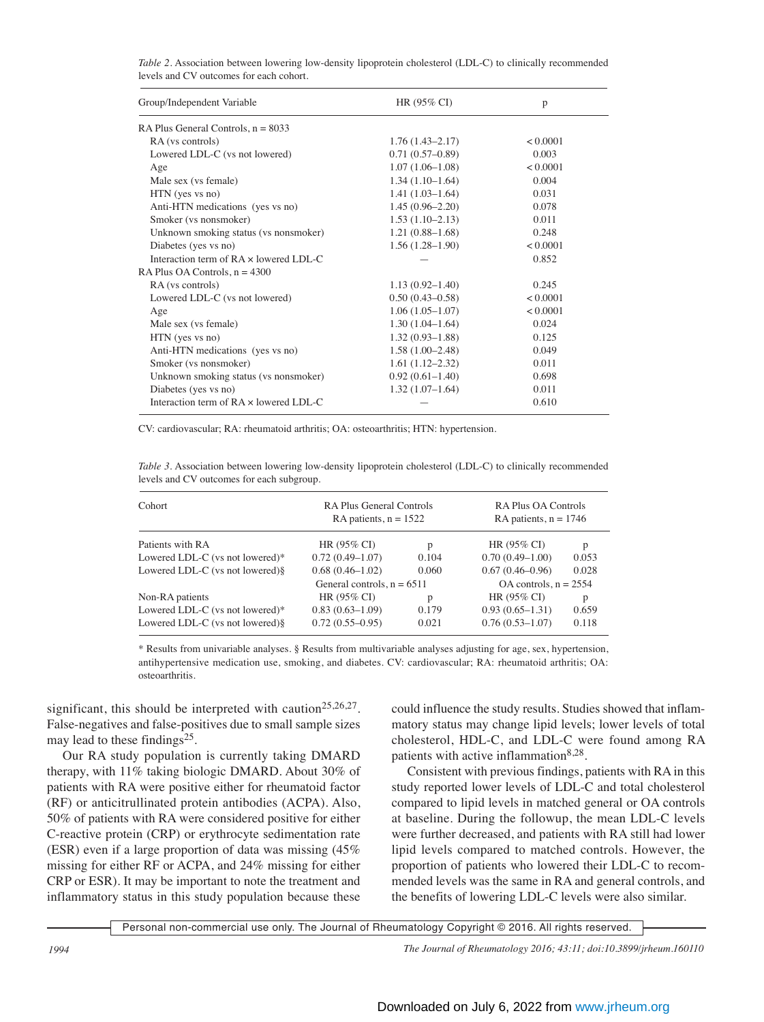|                                         | Table 2. Association between lowering low-density lipoprotein cholesterol (LDL-C) to clinically recommended |
|-----------------------------------------|-------------------------------------------------------------------------------------------------------------|
| levels and CV outcomes for each cohort. |                                                                                                             |

| Group/Independent Variable                    | $HR (95\% CI)$      | p        |
|-----------------------------------------------|---------------------|----------|
| RA Plus General Controls, $n = 8033$          |                     |          |
| RA (vs controls)                              | $1.76(1.43 - 2.17)$ | < 0.0001 |
| Lowered LDL-C (vs not lowered)                | $0.71(0.57-0.89)$   | 0.003    |
| Age                                           | $1.07(1.06-1.08)$   | < 0.0001 |
| Male sex (vs female)                          | $1.34(1.10-1.64)$   | 0.004    |
| HTN (yes vs no)                               | $1.41(1.03-1.64)$   | 0.031    |
| Anti-HTN medications (yes vs no)              | $1.45(0.96 - 2.20)$ | 0.078    |
| Smoker (vs nonsmoker)                         | $1.53(1.10-2.13)$   | 0.011    |
| Unknown smoking status (vs nonsmoker)         | $1.21(0.88 - 1.68)$ | 0.248    |
| Diabetes (yes vs no)                          | $1.56(1.28-1.90)$   | < 0.0001 |
| Interaction term of $RA \times$ lowered LDL-C |                     | 0.852    |
| RA Plus OA Controls, $n = 4300$               |                     |          |
| RA (vs controls)                              | $1.13(0.92 - 1.40)$ | 0.245    |
| Lowered LDL-C (vs not lowered)                | $0.50(0.43 - 0.58)$ | < 0.0001 |
| Age                                           | $1.06(1.05-1.07)$   | < 0.0001 |
| Male sex (vs female)                          | $1.30(1.04-1.64)$   | 0.024    |
| HTN (yes vs no)                               | $1.32(0.93 - 1.88)$ | 0.125    |
| Anti-HTN medications (yes vs no)              | $1.58(1.00-2.48)$   | 0.049    |
| Smoker (vs nonsmoker)                         | $1.61(1.12 - 2.32)$ | 0.011    |
| Unknown smoking status (vs nonsmoker)         | $0.92(0.61 - 1.40)$ | 0.698    |
| Diabetes (yes vs no)                          | $1.32(1.07-1.64)$   | 0.011    |
| Interaction term of $RA \times$ lowered LDL-C |                     | 0.610    |

CV: cardiovascular; RA: rheumatoid arthritis; OA: osteoarthritis; HTN: hypertension.

*Table 3.* Association between lowering low-density lipoprotein cholesterol (LDL-C) to clinically recommended levels and CV outcomes for each subgroup.

| Cohort                           | <b>RA Plus General Controls</b><br>RA patients, $n = 1522$ |       | RA Plus OA Controls<br>RA patients, $n = 1746$ |       |
|----------------------------------|------------------------------------------------------------|-------|------------------------------------------------|-------|
| Patients with RA                 | HR $(95\% \text{ CI})$                                     | р     | HR (95% CI)                                    | p     |
| Lowered LDL-C (vs not lowered)*  | $0.72(0.49-1.07)$                                          | 0.104 | $0.70(0.49-1.00)$                              | 0.053 |
| Lowered LDL-C (vs not lowered)§  | $0.68(0.46 - 1.02)$                                        | 0.060 | $0.67(0.46 - 0.96)$                            | 0.028 |
|                                  | General controls, $n = 6511$                               |       | $OA$ controls, $n = 2554$                      |       |
| Non-RA patients                  | HR (95% CI)                                                | р     | HR (95% CI)                                    | p     |
| Lowered LDL-C (vs not lowered)*  | $0.83(0.63 - 1.09)$                                        | 0.179 | $0.93(0.65 - 1.31)$                            | 0.659 |
| Lowered LDL-C (vs not lowered) § | $0.72(0.55-0.95)$                                          | 0.021 | $0.76(0.53 - 1.07)$                            | 0.118 |

\* Results from univariable analyses. § Results from multivariable analyses adjusting for age, sex, hypertension, antihypertensive medication use, smoking, and diabetes. CV: cardiovascular; RA: rheumatoid arthritis; OA: osteoarthritis.

significant, this should be interpreted with caution<sup>25,26,27</sup>. False-negatives and false-positives due to small sample sizes may lead to these findings $25$ .

Our RA study population is currently taking DMARD therapy, with 11% taking biologic DMARD. About 30% of patients with RA were positive either for rheumatoid factor (RF) or anticitrullinated protein antibodies (ACPA). Also, 50% of patients with RA were considered positive for either C-reactive protein (CRP) or erythrocyte sedimentation rate (ESR) even if a large proportion of data was missing (45% missing for either RF or ACPA, and 24% missing for either CRP or ESR). It may be important to note the treatment and inflammatory status in this study population because these

could influence the study results. Studies showed that inflammatory status may change lipid levels; lower levels of total cholesterol, HDL-C, and LDL-C were found among RA patients with active inflammation<sup>8,28</sup>.

Consistent with previous findings, patients with RA in this study reported lower levels of LDL-C and total cholesterol compared to lipid levels in matched general or OA controls at baseline. During the followup, the mean LDL-C levels were further decreased, and patients with RA still had lower lipid levels compared to matched controls. However, the proportion of patients who lowered their LDL-C to recommended levels was the same in RA and general controls, and the benefits of lowering LDL-C levels were also similar.

Personal non-commercial use only. The Journal of Rheumatology Copyright © 2016. All rights reserved.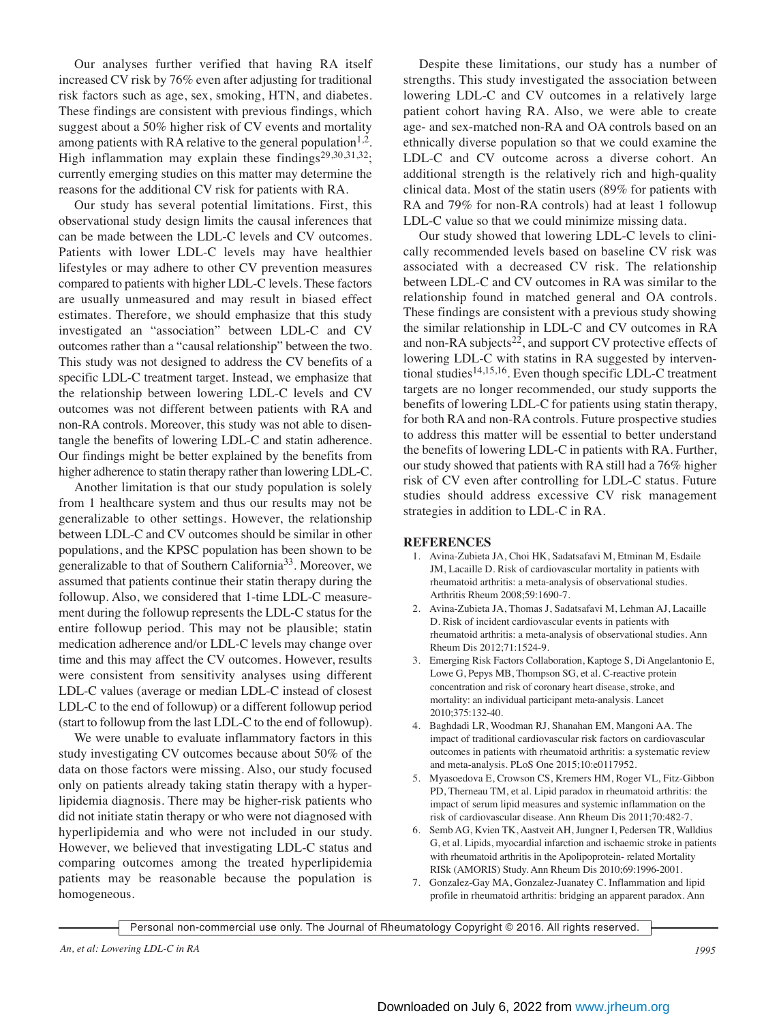Our analyses further verified that having RA itself increased CV risk by 76% even after adjusting for traditional risk factors such as age, sex, smoking, HTN, and diabetes. These findings are consistent with previous findings, which suggest about a 50% higher risk of CV events and mortality among patients with RA relative to the general population  $1,2$ . High inflammation may explain these findings<sup>29,30,31,32</sup>; currently emerging studies on this matter may determine the reasons for the additional CV risk for patients with RA.

Our study has several potential limitations. First, this observational study design limits the causal inferences that can be made between the LDL-C levels and CV outcomes. Patients with lower LDL-C levels may have healthier lifestyles or may adhere to other CV prevention measures compared to patients with higher LDL-C levels. These factors are usually unmeasured and may result in biased effect estimates. Therefore, we should emphasize that this study investigated an "association" between LDL-C and CV outcomes rather than a "causal relationship" between the two. This study was not designed to address the CV benefits of a specific LDL-C treatment target. Instead, we emphasize that the relationship between lowering LDL-C levels and CV outcomes was not different between patients with RA and non-RA controls. Moreover, this study was not able to disentangle the benefits of lowering LDL-C and statin adherence. Our findings might be better explained by the benefits from higher adherence to statin therapy rather than lowering LDL-C.

Another limitation is that our study population is solely from 1 healthcare system and thus our results may not be generalizable to other settings. However, the relationship between LDL-C and CV outcomes should be similar in other populations, and the KPSC population has been shown to be generalizable to that of Southern California33. Moreover, we assumed that patients continue their statin therapy during the followup. Also, we considered that 1-time LDL-C measurement during the followup represents the LDL-C status for the entire followup period. This may not be plausible; statin medication adherence and/or LDL-C levels may change over time and this may affect the CV outcomes. However, results were consistent from sensitivity analyses using different LDL-C values (average or median LDL-C instead of closest LDL-C to the end of followup) or a different followup period (start to followup from the last LDL-C to the end of followup).

We were unable to evaluate inflammatory factors in this study investigating CV outcomes because about 50% of the data on those factors were missing. Also, our study focused only on patients already taking statin therapy with a hyperlipidemia diagnosis. There may be higher-risk patients who did not initiate statin therapy or who were not diagnosed with hyperlipidemia and who were not included in our study. However, we believed that investigating LDL-C status and comparing outcomes among the treated hyperlipidemia patients may be reasonable because the population is homogeneous.

Despite these limitations, our study has a number of strengths. This study investigated the association between lowering LDL-C and CV outcomes in a relatively large patient cohort having RA. Also, we were able to create age- and sex-matched non-RA and OA controls based on an ethnically diverse population so that we could examine the LDL-C and CV outcome across a diverse cohort. An additional strength is the relatively rich and high-quality clinical data. Most of the statin users (89% for patients with RA and 79% for non-RA controls) had at least 1 followup LDL-C value so that we could minimize missing data.

Our study showed that lowering LDL-C levels to clinically recommended levels based on baseline CV risk was associated with a decreased CV risk. The relationship between LDL-C and CV outcomes in RA was similar to the relationship found in matched general and OA controls. These findings are consistent with a previous study showing the similar relationship in LDL-C and CV outcomes in RA and non-RA subjects<sup>22</sup>, and support CV protective effects of lowering LDL-C with statins in RA suggested by interventional studies<sup>14,15,16</sup>. Even though specific LDL-C treatment targets are no longer recommended, our study supports the benefits of lowering LDL-C for patients using statin therapy, for both RA and non-RA controls. Future prospective studies to address this matter will be essential to better understand the benefits of lowering LDL-C in patients with RA. Further, our study showed that patients with RA still had a 76% higher risk of CV even after controlling for LDL-C status. Future studies should address excessive CV risk management strategies in addition to LDL-C in RA.

# **REFERENCES**

- 1. Avina-Zubieta JA, Choi HK, Sadatsafavi M, Etminan M, Esdaile JM, Lacaille D. Risk of cardiovascular mortality in patients with rheumatoid arthritis: a meta-analysis of observational studies. Arthritis Rheum 2008;59:1690-7.
- 2. Avina-Zubieta JA, Thomas J, Sadatsafavi M, Lehman AJ, Lacaille D. Risk of incident cardiovascular events in patients with rheumatoid arthritis: a meta-analysis of observational studies. Ann Rheum Dis 2012;71:1524-9.
- 3. Emerging Risk Factors Collaboration, Kaptoge S, Di Angelantonio E, Lowe G, Pepys MB, Thompson SG, et al. C-reactive protein concentration and risk of coronary heart disease, stroke, and mortality: an individual participant meta-analysis. Lancet 2010;375:132-40.
- 4. Baghdadi LR, Woodman RJ, Shanahan EM, Mangoni AA. The impact of traditional cardiovascular risk factors on cardiovascular outcomes in patients with rheumatoid arthritis: a systematic review and meta-analysis. PLoS One 2015;10:e0117952.
- 5. Myasoedova E, Crowson CS, Kremers HM, Roger VL, Fitz-Gibbon PD, Therneau TM, et al. Lipid paradox in rheumatoid arthritis: the impact of serum lipid measures and systemic inflammation on the risk of cardiovascular disease. Ann Rheum Dis 2011;70:482-7.
- 6. Semb AG, Kvien TK, Aastveit AH, Jungner I, Pedersen TR, Walldius G, et al. Lipids, myocardial infarction and ischaemic stroke in patients with rheumatoid arthritis in the Apolipoprotein- related Mortality RISk (AMORIS) Study. Ann Rheum Dis 2010;69:1996-2001.
- 7. Gonzalez-Gay MA, Gonzalez-Juanatey C. Inflammation and lipid profile in rheumatoid arthritis: bridging an apparent paradox. Ann